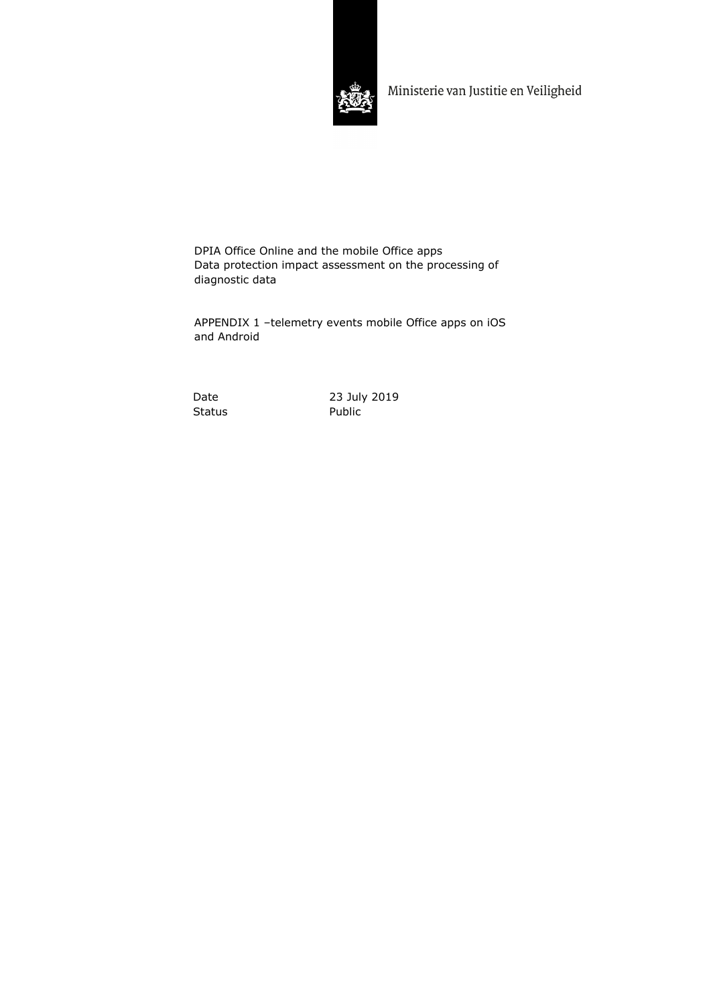

Ministerie van Justitie en Veiligheid

DPIA Office Online and the mobile Office apps Data protection impact assessment on the processing of diagnostic data

APPENDIX 1 –telemetry events mobile Office apps on iOS and Android

Status Public

Date 23 July 2019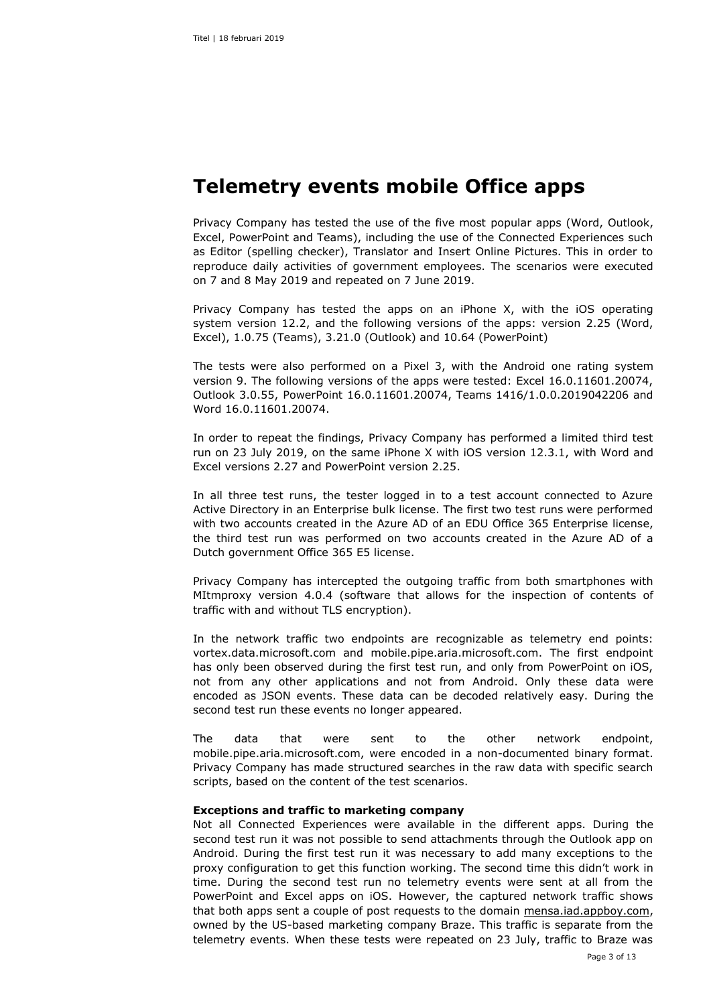# **Telemetry events mobile Office apps**

Privacy Company has tested the use of the five most popular apps (Word, Outlook, Excel, PowerPoint and Teams), including the use of the Connected Experiences such as Editor (spelling checker), Translator and Insert Online Pictures. This in order to reproduce daily activities of government employees. The scenarios were executed on 7 and 8 May 2019 and repeated on 7 June 2019.

Privacy Company has tested the apps on an iPhone X, with the iOS operating system version 12.2, and the following versions of the apps: version 2.25 (Word, Excel), 1.0.75 (Teams), 3.21.0 (Outlook) and 10.64 (PowerPoint)

The tests were also performed on a Pixel 3, with the Android one rating system version 9. The following versions of the apps were tested: Excel 16.0.11601.20074, Outlook 3.0.55, PowerPoint 16.0.11601.20074, Teams 1416/1.0.0.2019042206 and Word 16.0.11601.20074.

In order to repeat the findings, Privacy Company has performed a limited third test run on 23 July 2019, on the same iPhone X with iOS version 12.3.1, with Word and Excel versions 2.27 and PowerPoint version 2.25.

In all three test runs, the tester logged in to a test account connected to Azure Active Directory in an Enterprise bulk license. The first two test runs were performed with two accounts created in the Azure AD of an EDU Office 365 Enterprise license, the third test run was performed on two accounts created in the Azure AD of a Dutch government Office 365 E5 license.

Privacy Company has intercepted the outgoing traffic from both smartphones with MItmproxy version 4.0.4 (software that allows for the inspection of contents of traffic with and without TLS encryption).

In the network traffic two endpoints are recognizable as telemetry end points: vortex.data.microsoft.com and mobile.pipe.aria.microsoft.com. The first endpoint has only been observed during the first test run, and only from PowerPoint on iOS, not from any other applications and not from Android. Only these data were encoded as JSON events. These data can be decoded relatively easy. During the second test run these events no longer appeared.

The data that were sent to the other network endpoint, mobile.pipe.aria.microsoft.com, were encoded in a non-documented binary format. Privacy Company has made structured searches in the raw data with specific search scripts, based on the content of the test scenarios.

# **Exceptions and traffic to marketing company**

Not all Connected Experiences were available in the different apps. During the second test run it was not possible to send attachments through the Outlook app on Android. During the first test run it was necessary to add many exceptions to the proxy configuration to get this function working. The second time this didn't work in time. During the second test run no telemetry events were sent at all from the PowerPoint and Excel apps on iOS. However, the captured network traffic shows that both apps sent a couple of post requests to the domain mensa.iad.appboy.com, owned by the US-based marketing company Braze. This traffic is separate from the telemetry events. When these tests were repeated on 23 July, traffic to Braze was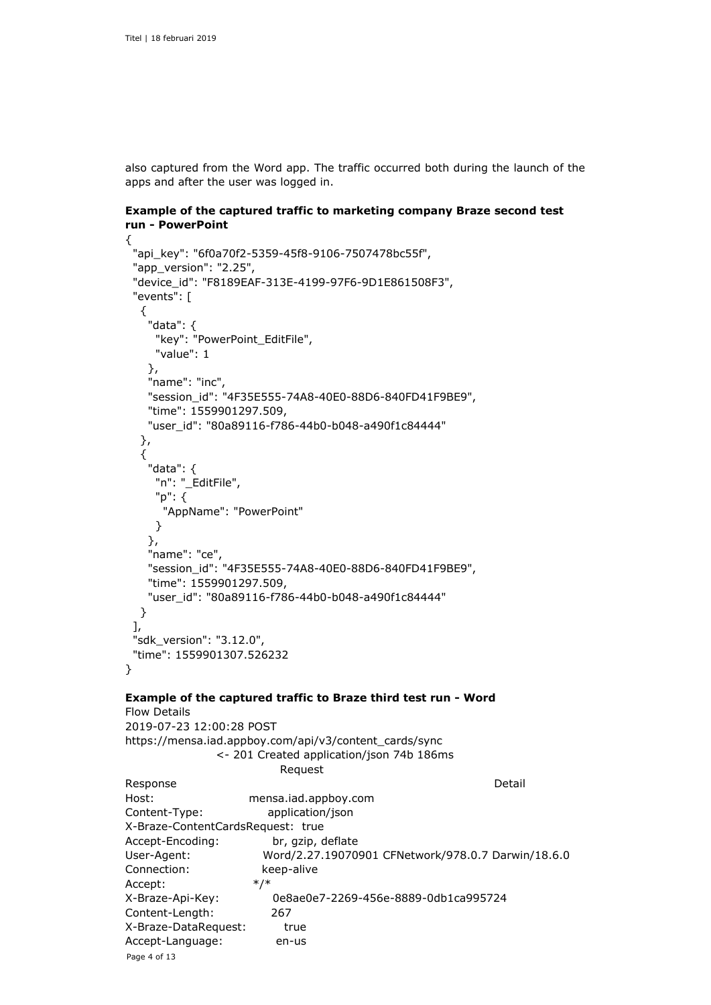Page 4 of 13

Accept-Language: en-us

also captured from the Word app. The traffic occurred both during the launch of the apps and after the user was logged in.

```
Example of the captured traffic to marketing company Braze second test 
run - PowerPoint
```

```
{
  "api_key": "6f0a70f2-5359-45f8-9106-7507478bc55f",
  "app_version": "2.25",
  "device_id": "F8189EAF-313E-4199-97F6-9D1E861508F3",
  "events": [
   {
    "data": {
     "key": "PowerPoint_EditFile",
     "value": 1
    },
    "name": "inc",
    "session_id": "4F35E555-74A8-40E0-88D6-840FD41F9BE9",
    "time": 1559901297.509,
    "user_id": "80a89116-f786-44b0-b048-a490f1c84444"
   },
   {
    "data": {
     "n": "_EditFile",
     "p": {
       "AppName": "PowerPoint"
     }
    },
    "name": "ce",
    "session_id": "4F35E555-74A8-40E0-88D6-840FD41F9BE9",
    "time": 1559901297.509,
    "user_id": "80a89116-f786-44b0-b048-a490f1c84444"
   }
  ],
  "sdk_version": "3.12.0",
  "time": 1559901307.526232
}
Example of the captured traffic to Braze third test run - Word
Flow Details
2019-07-23 12:00:28 POST 
https://mensa.iad.appboy.com/api/v3/content_cards/sync
               <- 201 Created application/json 74b 186ms
                         Request 
Response Detail
Host: mensa.iad.appboy.com
Content-Type: application/json
X-Braze-ContentCardsRequest: true
Accept-Encoding: br, gzip, deflate
User-Agent: Word/2.27.19070901 CFNetwork/978.0.7 Darwin/18.6.0
Connection: keep-alive
Accept: */*
X-Braze-Api-Key: 0e8ae0e7-2269-456e-8889-0db1ca995724
Content-Length: 267
X-Braze-DataRequest: true
```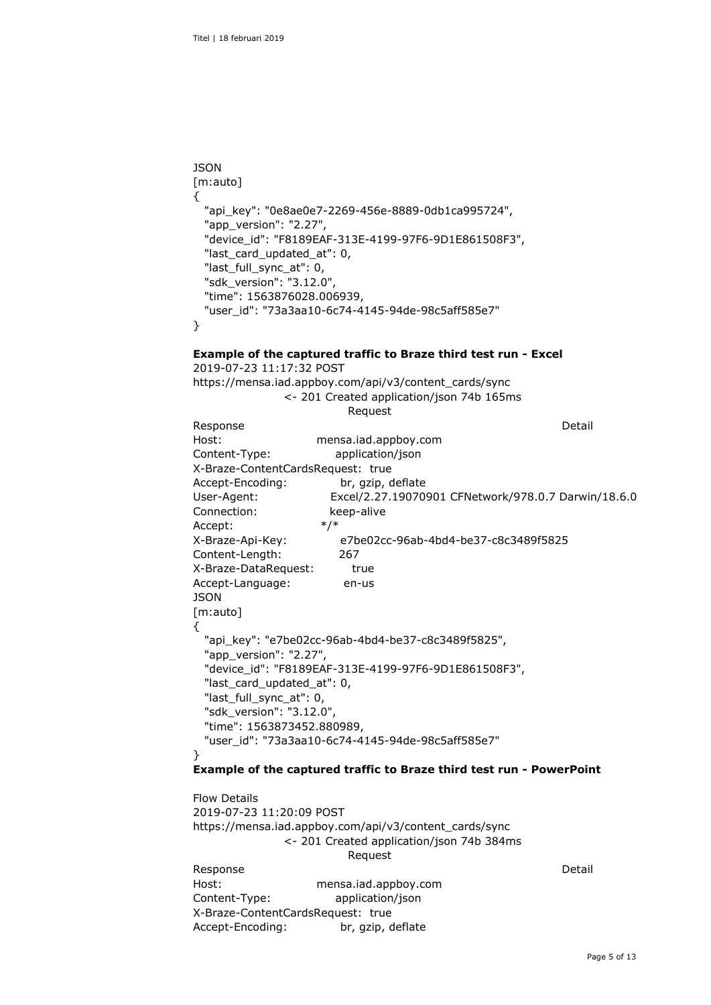```
JSON 
[m:auto]
{
   "api_key": "0e8ae0e7-2269-456e-8889-0db1ca995724",
   "app_version": "2.27",
   "device_id": "F8189EAF-313E-4199-97F6-9D1E861508F3",
   "last_card_updated_at": 0,
   "last_full_sync_at": 0,
   "sdk_version": "3.12.0",
   "time": 1563876028.006939,
   "user_id": "73a3aa10-6c74-4145-94de-98c5aff585e7"
}
```
# **Example of the captured traffic to Braze third test run - Excel**

| 2019-07-23 11:17:32 POST          |                      |                                                                      |  |
|-----------------------------------|----------------------|----------------------------------------------------------------------|--|
|                                   |                      | https://mensa.iad.appboy.com/api/v3/content_cards/sync               |  |
|                                   |                      | <- 201 Created application/json 74b 165ms                            |  |
|                                   | Request              |                                                                      |  |
| Response                          |                      | Detail                                                               |  |
| Host:                             | mensa.iad.appboy.com |                                                                      |  |
| Content-Type:                     | application/json     |                                                                      |  |
| X-Braze-ContentCardsRequest: true |                      |                                                                      |  |
|                                   | br, gzip, deflate    |                                                                      |  |
|                                   |                      | Excel/2.27.19070901 CFNetwork/978.0.7 Darwin/18.6.0                  |  |
| Connection:                       | keep-alive           |                                                                      |  |
| Accept:                           | $*/*$                |                                                                      |  |
| X-Braze-Api-Key:                  |                      | e7be02cc-96ab-4bd4-be37-c8c3489f5825                                 |  |
| Content-Length:                   | 267                  |                                                                      |  |
| X-Braze-DataRequest:              | true                 |                                                                      |  |
| Accept-Language:                  | en-us                |                                                                      |  |
| JSON                              |                      |                                                                      |  |
| [m:auto]                          |                      |                                                                      |  |
| ₹                                 |                      |                                                                      |  |
|                                   |                      | "api_key": "e7be02cc-96ab-4bd4-be37-c8c3489f5825",                   |  |
| "app_version": "2.27",            |                      |                                                                      |  |
|                                   |                      | "device id": "F8189EAF-313E-4199-97F6-9D1E861508F3",                 |  |
| "last_card_updated_at": 0,        |                      |                                                                      |  |
| "last_full_sync_at": 0,           |                      |                                                                      |  |
| "sdk_version": "3.12.0",          |                      |                                                                      |  |
| "time": 1563873452.880989,        |                      |                                                                      |  |
|                                   |                      | "user id": "73a3aa10-6c74-4145-94de-98c5aff585e7"                    |  |
| λ                                 |                      |                                                                      |  |
|                                   |                      | Example of the captured traffic to Braze third test run - PowerPoint |  |
| <b>Flow Details</b>               |                      |                                                                      |  |
| 2019-07-23 11:20:09 POST          |                      |                                                                      |  |
|                                   |                      | https://mensa.iad.appboy.com/api/v3/content_cards/sync               |  |
|                                   |                      | <- 201 Created application/json 74b 384ms                            |  |
|                                   |                      |                                                                      |  |

 Request Response Detail Host: mensa.iad.appboy.com

Content-Type: application/json X-Braze-ContentCardsRequest: true Accept-Encoding: br, gzip, deflate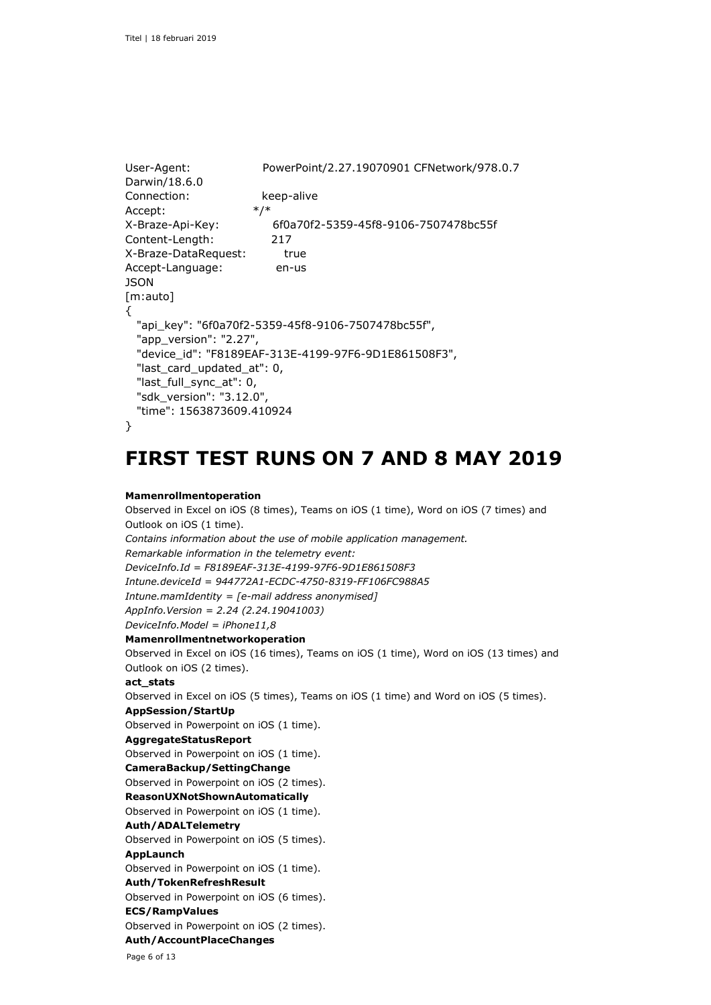```
User-Agent: PowerPoint/2.27.19070901 CFNetwork/978.0.7 
Darwin/18.6.0
Connection: keep-alive
Accept: */*
X-Braze-Api-Key: 6f0a70f2-5359-45f8-9106-7507478bc55f
Content-Length: 217
X-Braze-DataRequest: true
Accept-Language: en-us
JSON
[m:auto]
{
  "api_key": "6f0a70f2-5359-45f8-9106-7507478bc55f",
  "app_version": "2.27",
   "device_id": "F8189EAF-313E-4199-97F6-9D1E861508F3",
   "last_card_updated_at": 0,
  "last_full_sync_at": 0,
  "sdk_version": "3.12.0",
  "time": 1563873609.410924
```
# }

# **FIRST TEST RUNS ON 7 AND 8 MAY 2019**

#### **Mamenrollmentoperation**

Observed in Excel on iOS (8 times), Teams on iOS (1 time), Word on iOS (7 times) and Outlook on iOS (1 time). *Contains information about the use of mobile application management. Remarkable information in the telemetry event: DeviceInfo.Id = F8189EAF-313E-4199-97F6-9D1E861508F3 Intune.deviceId = 944772A1-ECDC-4750-8319-FF106FC988A5 Intune.mamIdentity = [e-mail address anonymised] AppInfo.Version = 2.24 (2.24.19041003) DeviceInfo.Model = iPhone11,8* **Mamenrollmentnetworkoperation** Observed in Excel on iOS (16 times), Teams on iOS (1 time), Word on iOS (13 times) and Outlook on iOS (2 times). **act\_stats** Observed in Excel on iOS (5 times), Teams on iOS (1 time) and Word on iOS (5 times). **AppSession/StartUp** Observed in Powerpoint on iOS (1 time). **AggregateStatusReport** Observed in Powerpoint on iOS (1 time). **CameraBackup/SettingChange** Observed in Powerpoint on iOS (2 times). **ReasonUXNotShownAutomatically** Observed in Powerpoint on iOS (1 time). **Auth/ADALTelemetry** Observed in Powerpoint on iOS (5 times). **AppLaunch** Observed in Powerpoint on iOS (1 time). **Auth/TokenRefreshResult** Observed in Powerpoint on iOS (6 times). **ECS/RampValues** Observed in Powerpoint on iOS (2 times). **Auth/AccountPlaceChanges**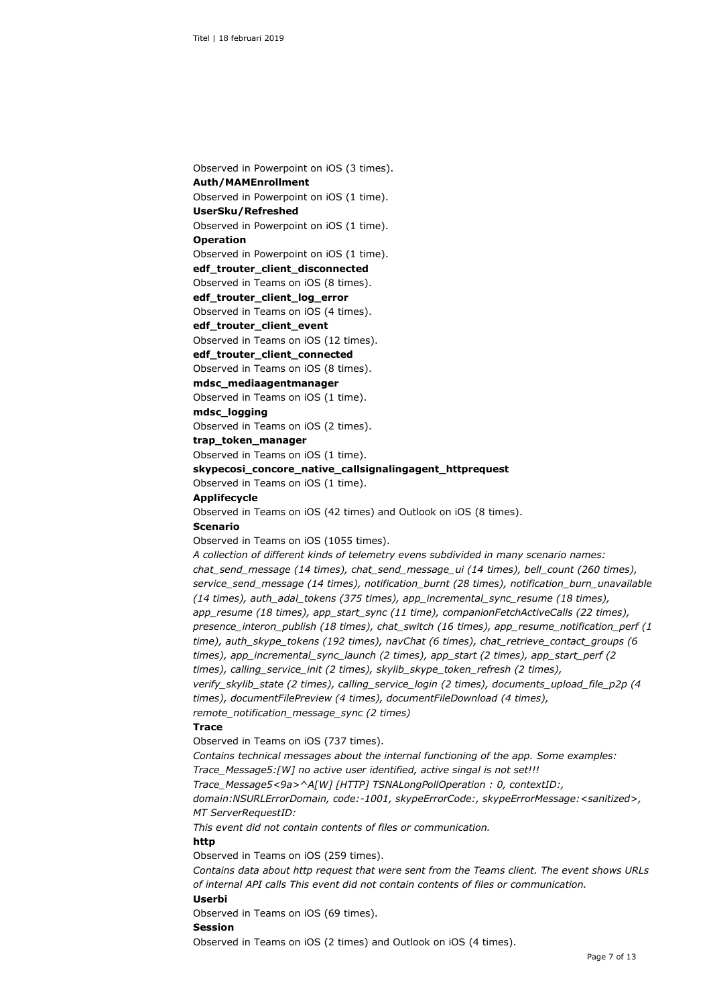Observed in Powerpoint on iOS (3 times). **Auth/MAMEnrollment** Observed in Powerpoint on iOS (1 time).

**UserSku/Refreshed**

Observed in Powerpoint on iOS (1 time).

# **Operation**

Observed in Powerpoint on iOS (1 time).

**edf\_trouter\_client\_disconnected**

Observed in Teams on iOS (8 times).

**edf\_trouter\_client\_log\_error**

Observed in Teams on iOS (4 times).

#### **edf\_trouter\_client\_event**

Observed in Teams on iOS (12 times).

#### **edf\_trouter\_client\_connected**

Observed in Teams on iOS (8 times).

#### **mdsc\_mediaagentmanager**

Observed in Teams on iOS (1 time).

#### **mdsc\_logging**

Observed in Teams on iOS (2 times).

**trap\_token\_manager**

Observed in Teams on iOS (1 time).

#### **skypecosi\_concore\_native\_callsignalingagent\_httprequest**

Observed in Teams on iOS (1 time).

**Applifecycle**

Observed in Teams on iOS (42 times) and Outlook on iOS (8 times).

#### **Scenario**

Observed in Teams on iOS (1055 times).

*A collection of different kinds of telemetry evens subdivided in many scenario names: chat\_send\_message (14 times), chat\_send\_message\_ui (14 times), bell\_count (260 times), service\_send\_message (14 times), notification\_burnt (28 times), notification\_burn\_unavailable (14 times), auth\_adal\_tokens (375 times), app\_incremental\_sync\_resume (18 times), app\_resume (18 times), app\_start\_sync (11 time), companionFetchActiveCalls (22 times), presence\_interon\_publish (18 times), chat\_switch (16 times), app\_resume\_notification\_perf (1 time), auth\_skype\_tokens (192 times), navChat (6 times), chat\_retrieve\_contact\_groups (6 times), app\_incremental\_sync\_launch (2 times), app\_start (2 times), app\_start\_perf (2 times), calling\_service\_init (2 times), skylib\_skype\_token\_refresh (2 times), verify\_skylib\_state (2 times), calling\_service\_login (2 times), documents\_upload\_file\_p2p (4 times), documentFilePreview (4 times), documentFileDownload (4 times), remote\_notification\_message\_sync (2 times)*

#### **Trace**

Observed in Teams on iOS (737 times).

*Contains technical messages about the internal functioning of the app. Some examples: Trace\_Message5:[W] no active user identified, active singal is not set!!!*

*Trace\_Message5<9a>^A[W] [HTTP] TSNALongPollOperation : 0, contextID:,* 

*domain:NSURLErrorDomain, code:-1001, skypeErrorCode:, skypeErrorMessage:<sanitized>, MT ServerRequestID:*

*This event did not contain contents of files or communication.*

# **http**

Observed in Teams on iOS (259 times).

*Contains data about http request that were sent from the Teams client. The event shows URLs of internal API calls This event did not contain contents of files or communication.*

#### **Userbi**

Observed in Teams on iOS (69 times).

#### **Session**

Observed in Teams on iOS (2 times) and Outlook on iOS (4 times).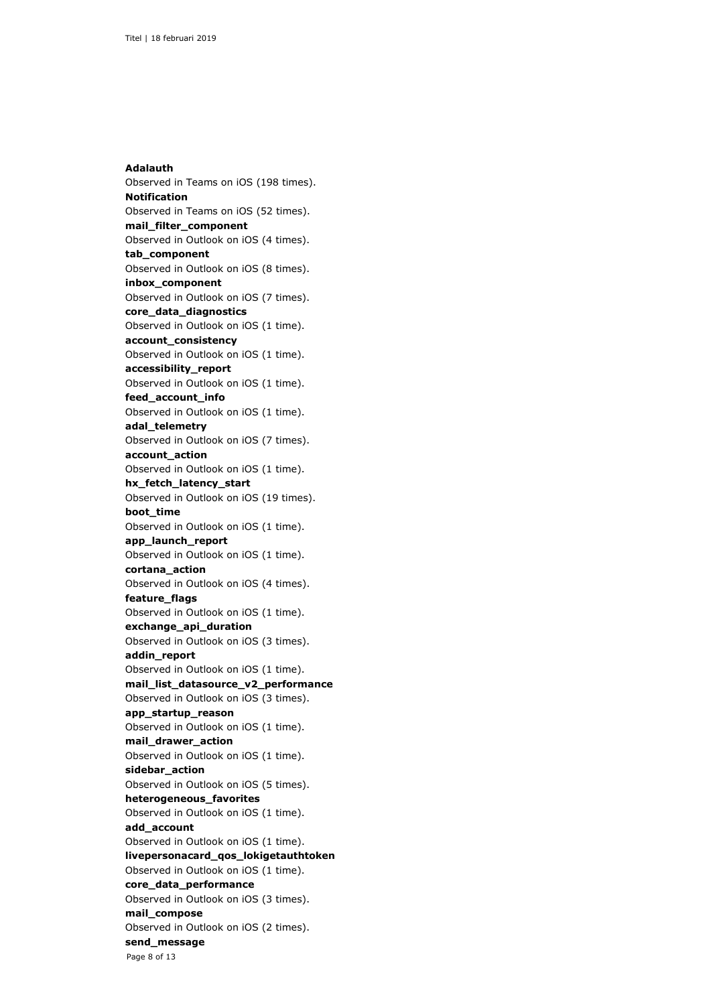Page 8 of 13 **Adalauth** Observed in Teams on iOS (198 times). **Notification** Observed in Teams on iOS (52 times). **mail\_filter\_component** Observed in Outlook on iOS (4 times). **tab\_component** Observed in Outlook on iOS (8 times). **inbox\_component** Observed in Outlook on iOS (7 times). **core\_data\_diagnostics** Observed in Outlook on iOS (1 time). **account\_consistency** Observed in Outlook on iOS (1 time). **accessibility\_report** Observed in Outlook on iOS (1 time). **feed\_account\_info** Observed in Outlook on iOS (1 time). **adal\_telemetry** Observed in Outlook on iOS (7 times). **account\_action** Observed in Outlook on iOS (1 time). **hx\_fetch\_latency\_start** Observed in Outlook on iOS (19 times). **boot\_time** Observed in Outlook on iOS (1 time). **app\_launch\_report** Observed in Outlook on iOS (1 time). **cortana\_action** Observed in Outlook on iOS (4 times). **feature\_flags** Observed in Outlook on iOS (1 time). **exchange\_api\_duration** Observed in Outlook on iOS (3 times). **addin\_report** Observed in Outlook on iOS (1 time). **mail\_list\_datasource\_v2\_performance** Observed in Outlook on iOS (3 times). **app\_startup\_reason** Observed in Outlook on iOS (1 time). **mail\_drawer\_action** Observed in Outlook on iOS (1 time). **sidebar\_action** Observed in Outlook on iOS (5 times). **heterogeneous\_favorites** Observed in Outlook on iOS (1 time). **add\_account** Observed in Outlook on iOS (1 time). **livepersonacard\_qos\_lokigetauthtoken** Observed in Outlook on iOS (1 time). **core\_data\_performance** Observed in Outlook on iOS (3 times). **mail\_compose** Observed in Outlook on iOS (2 times). **send\_message**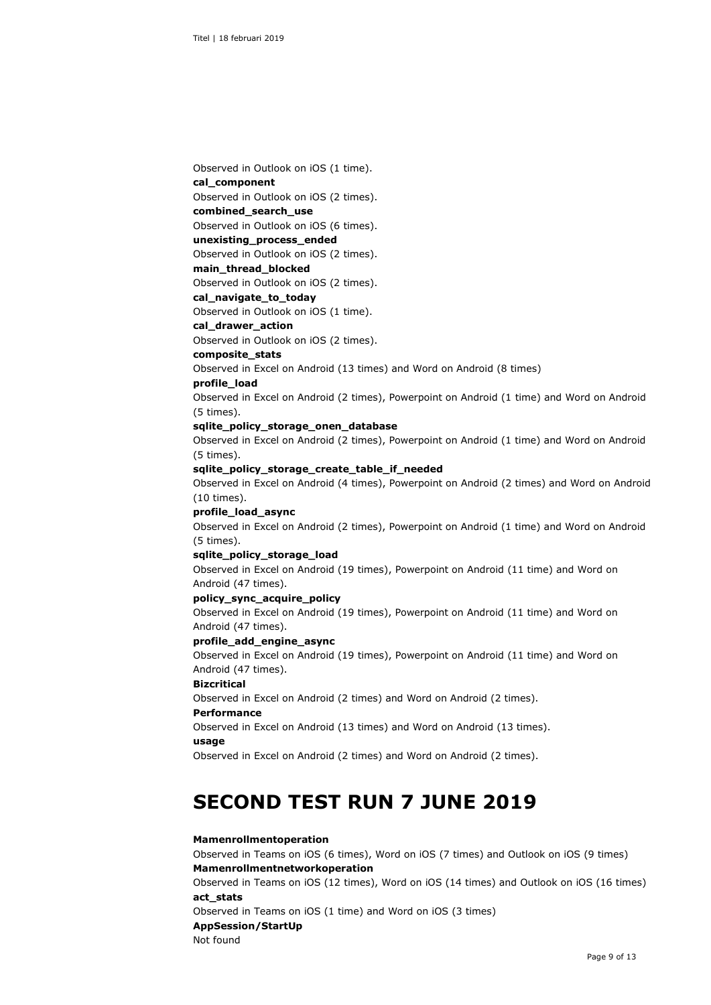Observed in Outlook on iOS (1 time).

#### **cal\_component**

Observed in Outlook on iOS (2 times).

### **combined\_search\_use**

Observed in Outlook on iOS (6 times).

# **unexisting\_process\_ended**

Observed in Outlook on iOS (2 times).

#### **main\_thread\_blocked**

Observed in Outlook on iOS (2 times).

**cal\_navigate\_to\_today**

Observed in Outlook on iOS (1 time).

#### **cal\_drawer\_action**

Observed in Outlook on iOS (2 times).

#### **composite\_stats**

Observed in Excel on Android (13 times) and Word on Android (8 times)

#### **profile\_load**

Observed in Excel on Android (2 times), Powerpoint on Android (1 time) and Word on Android (5 times).

#### **sqlite\_policy\_storage\_onen\_database**

Observed in Excel on Android (2 times), Powerpoint on Android (1 time) and Word on Android (5 times).

#### **sqlite\_policy\_storage\_create\_table\_if\_needed**

Observed in Excel on Android (4 times), Powerpoint on Android (2 times) and Word on Android (10 times).

#### **profile\_load\_async**

Observed in Excel on Android (2 times), Powerpoint on Android (1 time) and Word on Android (5 times).

#### **sqlite\_policy\_storage\_load**

Observed in Excel on Android (19 times), Powerpoint on Android (11 time) and Word on Android (47 times).

#### **policy\_sync\_acquire\_policy**

Observed in Excel on Android (19 times), Powerpoint on Android (11 time) and Word on Android (47 times).

#### **profile\_add\_engine\_async**

Observed in Excel on Android (19 times), Powerpoint on Android (11 time) and Word on Android (47 times).

# **Bizcritical**

Observed in Excel on Android (2 times) and Word on Android (2 times).

# **Performance**

Observed in Excel on Android (13 times) and Word on Android (13 times).

### **usage**

Observed in Excel on Android (2 times) and Word on Android (2 times).

# **SECOND TEST RUN 7 JUNE 2019**

#### **Mamenrollmentoperation**

Observed in Teams on iOS (6 times), Word on iOS (7 times) and Outlook on iOS (9 times) **Mamenrollmentnetworkoperation**

Observed in Teams on iOS (12 times), Word on iOS (14 times) and Outlook on iOS (16 times) **act\_stats**

Observed in Teams on iOS (1 time) and Word on iOS (3 times) **AppSession/StartUp** Not found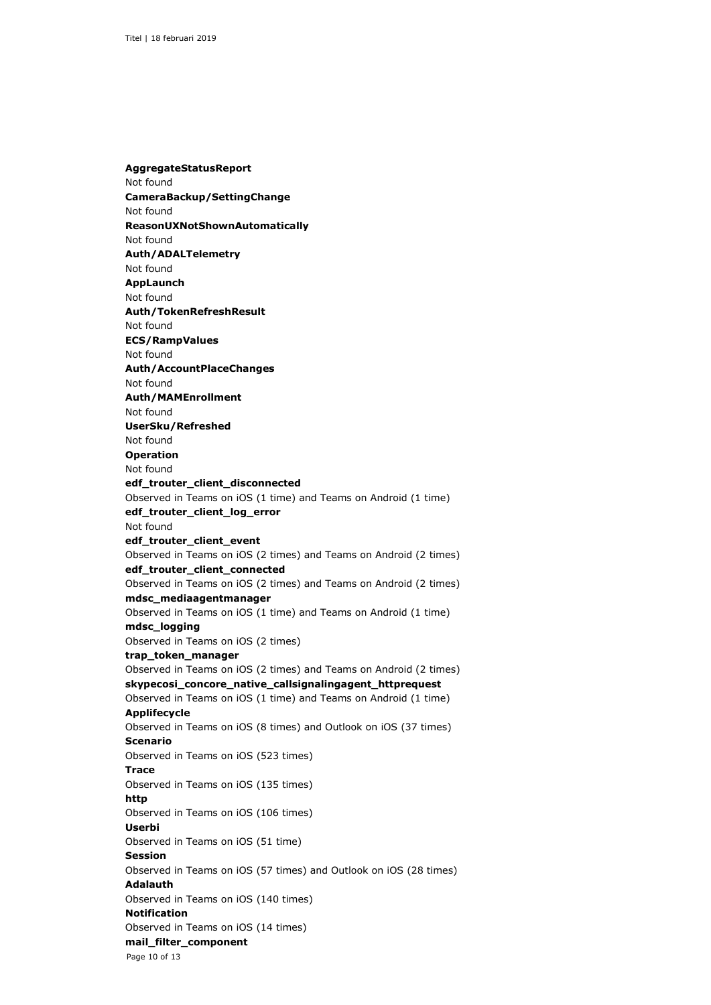Page 10 of 13 **AggregateStatusReport** Not found **CameraBackup/SettingChange** Not found **ReasonUXNotShownAutomatically** Not found **Auth/ADALTelemetry** Not found **AppLaunch** Not found **Auth/TokenRefreshResult** Not found **ECS/RampValues** Not found **Auth/AccountPlaceChanges** Not found **Auth/MAMEnrollment** Not found **UserSku/Refreshed** Not found **Operation** Not found **edf\_trouter\_client\_disconnected** Observed in Teams on iOS (1 time) and Teams on Android (1 time) **edf\_trouter\_client\_log\_error** Not found **edf\_trouter\_client\_event** Observed in Teams on iOS (2 times) and Teams on Android (2 times) **edf\_trouter\_client\_connected** Observed in Teams on iOS (2 times) and Teams on Android (2 times) **mdsc\_mediaagentmanager** Observed in Teams on iOS (1 time) and Teams on Android (1 time) **mdsc\_logging** Observed in Teams on iOS (2 times) **trap\_token\_manager** Observed in Teams on iOS (2 times) and Teams on Android (2 times) **skypecosi\_concore\_native\_callsignalingagent\_httprequest** Observed in Teams on iOS (1 time) and Teams on Android (1 time) **Applifecycle** Observed in Teams on iOS (8 times) and Outlook on iOS (37 times) **Scenario** Observed in Teams on iOS (523 times) **Trace** Observed in Teams on iOS (135 times) **http** Observed in Teams on iOS (106 times) **Userbi** Observed in Teams on iOS (51 time) **Session** Observed in Teams on iOS (57 times) and Outlook on iOS (28 times) **Adalauth** Observed in Teams on iOS (140 times) **Notification** Observed in Teams on iOS (14 times) **mail\_filter\_component**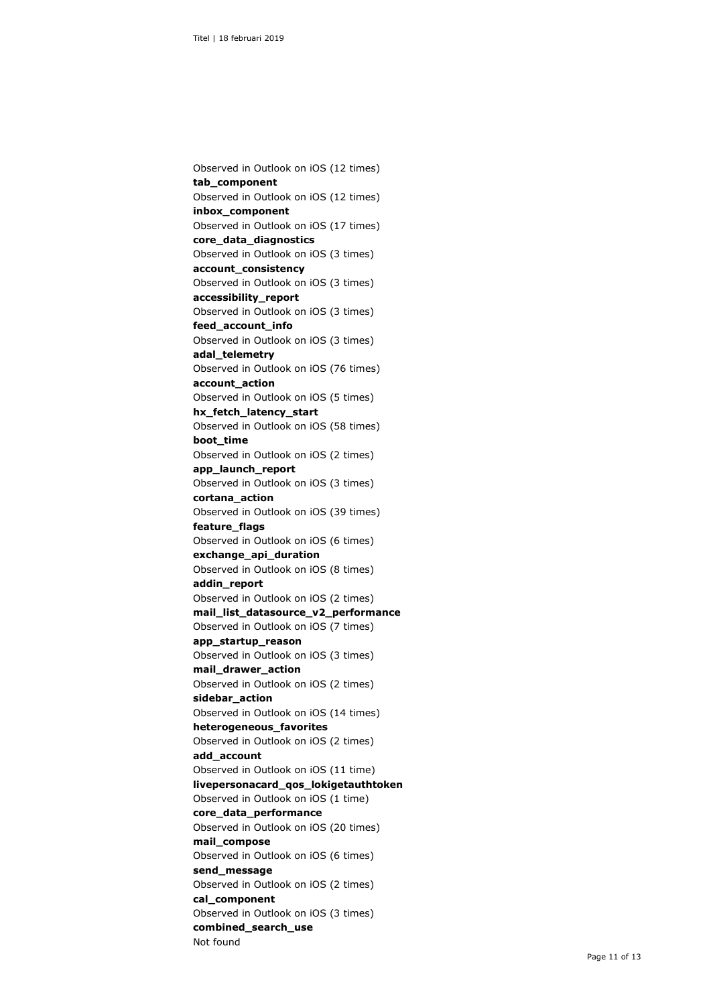Observed in Outlook on iOS (12 times) **tab\_component** Observed in Outlook on iOS (12 times) **inbox\_component** Observed in Outlook on iOS (17 times) **core\_data\_diagnostics** Observed in Outlook on iOS (3 times) **account\_consistency** Observed in Outlook on iOS (3 times) **accessibility\_report** Observed in Outlook on iOS (3 times) **feed\_account\_info** Observed in Outlook on iOS (3 times) **adal\_telemetry** Observed in Outlook on iOS (76 times) **account\_action** Observed in Outlook on iOS (5 times) **hx\_fetch\_latency\_start** Observed in Outlook on iOS (58 times) **boot\_time** Observed in Outlook on iOS (2 times) **app\_launch\_report** Observed in Outlook on iOS (3 times) **cortana\_action** Observed in Outlook on iOS (39 times) **feature\_flags** Observed in Outlook on iOS (6 times) **exchange\_api\_duration** Observed in Outlook on iOS (8 times) **addin\_report** Observed in Outlook on iOS (2 times) **mail\_list\_datasource\_v2\_performance** Observed in Outlook on iOS (7 times) **app\_startup\_reason** Observed in Outlook on iOS (3 times) **mail\_drawer\_action** Observed in Outlook on iOS (2 times) **sidebar\_action** Observed in Outlook on iOS (14 times) **heterogeneous\_favorites** Observed in Outlook on iOS (2 times) **add\_account** Observed in Outlook on iOS (11 time) **livepersonacard\_qos\_lokigetauthtoken** Observed in Outlook on iOS (1 time) **core\_data\_performance** Observed in Outlook on iOS (20 times) **mail\_compose** Observed in Outlook on iOS (6 times) **send\_message** Observed in Outlook on iOS (2 times) **cal\_component** Observed in Outlook on iOS (3 times) **combined\_search\_use** Not found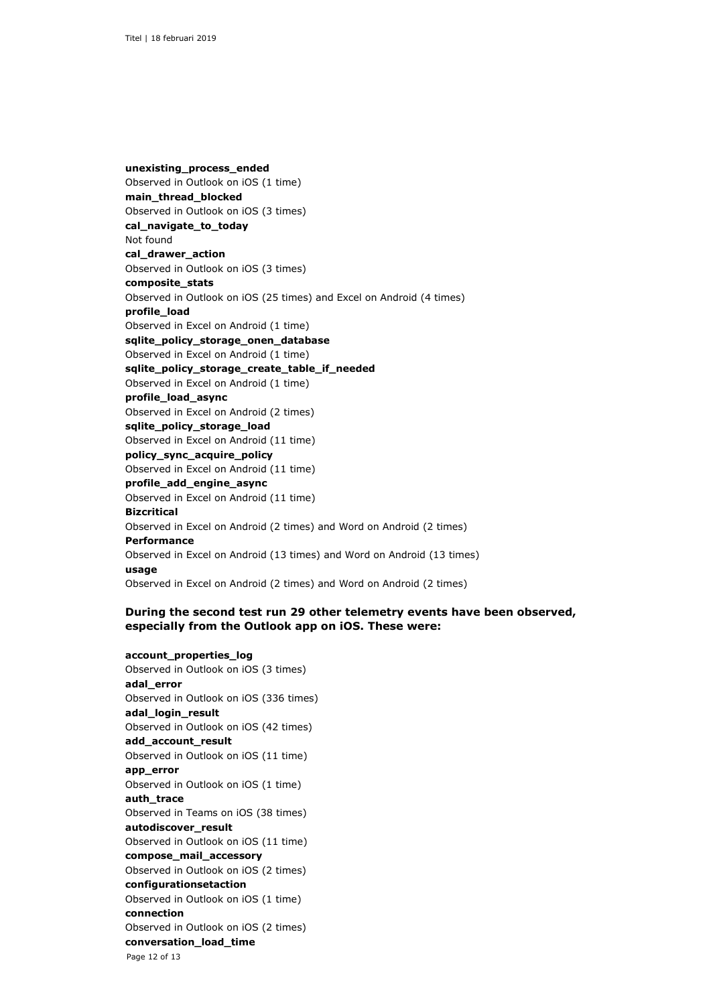**unexisting\_process\_ended** Observed in Outlook on iOS (1 time) **main\_thread\_blocked** Observed in Outlook on iOS (3 times) **cal\_navigate\_to\_today** Not found **cal\_drawer\_action** Observed in Outlook on iOS (3 times) **composite\_stats** Observed in Outlook on iOS (25 times) and Excel on Android (4 times) **profile\_load** Observed in Excel on Android (1 time) **sqlite\_policy\_storage\_onen\_database** Observed in Excel on Android (1 time) **sqlite\_policy\_storage\_create\_table\_if\_needed** Observed in Excel on Android (1 time) **profile\_load\_async** Observed in Excel on Android (2 times) **sqlite\_policy\_storage\_load** Observed in Excel on Android (11 time) **policy\_sync\_acquire\_policy** Observed in Excel on Android (11 time) **profile\_add\_engine\_async** Observed in Excel on Android (11 time) **Bizcritical** Observed in Excel on Android (2 times) and Word on Android (2 times) **Performance** Observed in Excel on Android (13 times) and Word on Android (13 times) **usage** Observed in Excel on Android (2 times) and Word on Android (2 times)

# **During the second test run 29 other telemetry events have been observed, especially from the Outlook app on iOS. These were:**

# **account\_properties\_log**

Page 12 of 13 Observed in Outlook on iOS (3 times) **adal\_error** Observed in Outlook on iOS (336 times) **adal\_login\_result** Observed in Outlook on iOS (42 times) **add\_account\_result** Observed in Outlook on iOS (11 time) **app\_error** Observed in Outlook on iOS (1 time) **auth\_trace** Observed in Teams on iOS (38 times) **autodiscover\_result** Observed in Outlook on iOS (11 time) **compose\_mail\_accessory** Observed in Outlook on iOS (2 times) **configurationsetaction** Observed in Outlook on iOS (1 time) **connection** Observed in Outlook on iOS (2 times) **conversation\_load\_time**